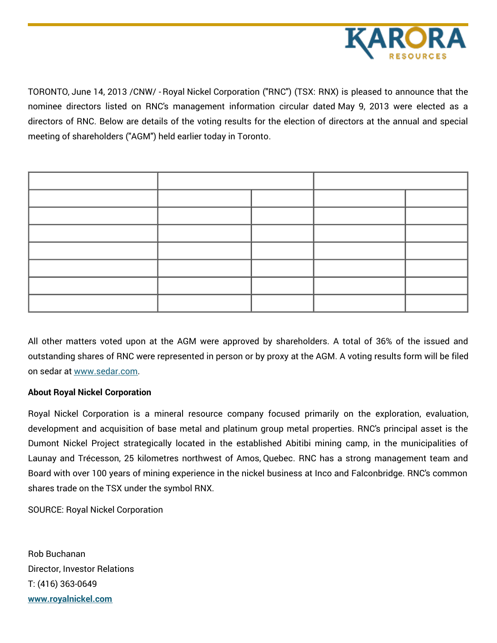

TORONTO, June 14, 2013 /CNW/ - Royal Nickel Corporation ("RNC") (TSX: RNX) is pleased to announce that the nominee directors listed on RNC's management information circular dated May 9, 2013 were elected as a directors of RNC. Below are details of the voting results for the election of directors at the annual and special meeting of shareholders ("AGM") held earlier today in Toronto.

All other matters voted upon at the AGM were approved by shareholders. A total of 36% of the issued and outstanding shares of RNC were represented in person or by proxy at the AGM. A voting results form will be filed on sedar at [www.sedar.com](http://www.sedar.com).

## **About Royal Nickel Corporation**

Royal Nickel Corporation is a mineral resource company focused primarily on the exploration, evaluation, development and acquisition of base metal and platinum group metal properties. RNC's principal asset is the Dumont Nickel Project strategically located in the established Abitibi mining camp, in the municipalities of Launay and Trécesson, 25 kilometres northwest of Amos, Quebec. RNC has a strong management team and Board with over 100 years of mining experience in the nickel business at Inco and Falconbridge. RNC's common shares trade on the TSX under the symbol RNX.

SOURCE: Royal Nickel Corporation

Rob Buchanan Director, Investor Relations T: (416) 363-0649 **[www.royalnickel.com](http://www.royalnickel.com)**